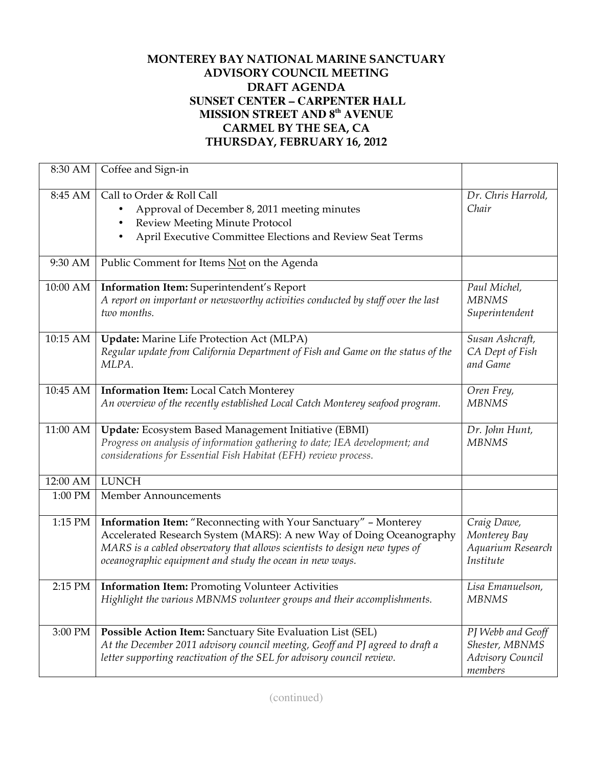## **MONTEREY BAY NATIONAL MARINE SANCTUARY ADVISORY COUNCIL MEETING DRAFT AGENDA SUNSET CENTER – CARPENTER HALL MISSION STREET AND 8th AVENUE CARMEL BY THE SEA, CA THURSDAY, FEBRUARY 16, 2012**

| 8:30 AM  | Coffee and Sign-in                                                                                                                                                                                                                                                               |                                                                    |
|----------|----------------------------------------------------------------------------------------------------------------------------------------------------------------------------------------------------------------------------------------------------------------------------------|--------------------------------------------------------------------|
| 8:45 AM  | Call to Order & Roll Call<br>Approval of December 8, 2011 meeting minutes<br>Review Meeting Minute Protocol<br>٠<br>April Executive Committee Elections and Review Seat Terms<br>$\bullet$                                                                                       | Dr. Chris Harrold,<br>Chair                                        |
| 9:30 AM  | Public Comment for Items Not on the Agenda                                                                                                                                                                                                                                       |                                                                    |
| 10:00 AM | Information Item: Superintendent's Report<br>A report on important or newsworthy activities conducted by staff over the last<br>two months.                                                                                                                                      | Paul Michel,<br><b>MBNMS</b><br>Superintendent                     |
| 10:15 AM | <b>Update:</b> Marine Life Protection Act (MLPA)<br>Regular update from California Department of Fish and Game on the status of the<br>MLPA.                                                                                                                                     | Susan Ashcraft,<br>CA Dept of Fish<br>and Game                     |
| 10:45 AM | <b>Information Item:</b> Local Catch Monterey<br>An overview of the recently established Local Catch Monterey seafood program.                                                                                                                                                   | Oren Frey,<br><b>MBNMS</b>                                         |
| 11:00 AM | Update: Ecosystem Based Management Initiative (EBMI)<br>Progress on analysis of information gathering to date; IEA development; and<br>considerations for Essential Fish Habitat (EFH) review process.                                                                           | Dr. John Hunt,<br><b>MBNMS</b>                                     |
| 12:00 AM | <b>LUNCH</b>                                                                                                                                                                                                                                                                     |                                                                    |
| 1:00 PM  | Member Announcements                                                                                                                                                                                                                                                             |                                                                    |
| 1:15 PM  | Information Item: "Reconnecting with Your Sanctuary" - Monterey<br>Accelerated Research System (MARS): A new Way of Doing Oceanography<br>MARS is a cabled observatory that allows scientists to design new types of<br>oceanographic equipment and study the ocean in new ways. | Craig Dawe,<br>Monterey Bay<br>Aquarium Research<br>Institute      |
| 2:15 PM  | <b>Information Item: Promoting Volunteer Activities</b><br>Highlight the various MBNMS volunteer groups and their accomplishments.                                                                                                                                               | Lisa Emanuelson,<br><b>MBNMS</b>                                   |
| 3:00 PM  | Possible Action Item: Sanctuary Site Evaluation List (SEL)<br>At the December 2011 advisory council meeting, Geoff and PJ agreed to draft a<br>letter supporting reactivation of the SEL for advisory council review.                                                            | PJ Webb and Geoff<br>Shester, MBNMS<br>Advisory Council<br>members |